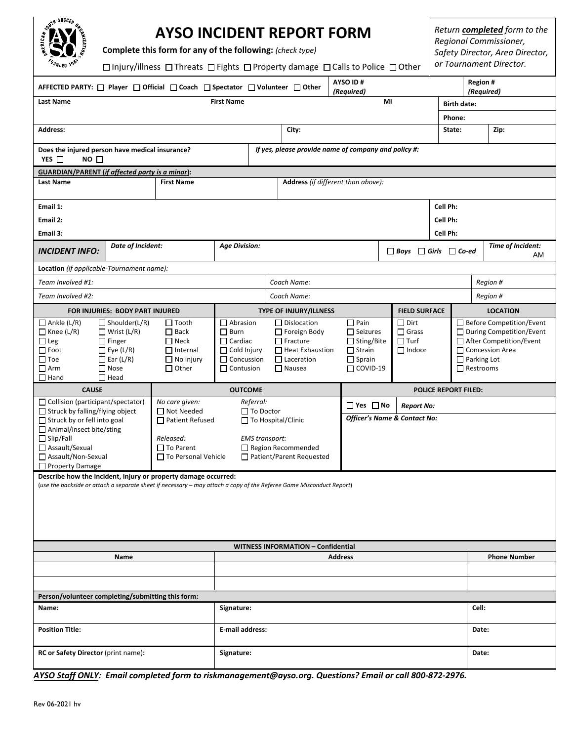| Edit<br>š | <b>TOUTH SOCCES</b><br>ORE.<br>È<br>$t_{\theta_{\beta}}$<br>FOUNDED |
|-----------|---------------------------------------------------------------------|
|           |                                                                     |

# **AYSO INCIDENT REPORT FORM**

**Complete this form for any of the following:** *(check type)*

Injury/illnessThreats Fights Property damage Calls to Police Other

*Return completed form to the Regional Commissioner, Safety Director, Area Director, or Tournament Director.*

| AYSO ID#<br>Region #<br>AFFECTED PARTY: □ Player □ Official □ Coach □ Spectator □ Volunteer □ Other<br>(Required)                                                                                                                                                                       |                                                                                                                                   |                                                                                                   |                                                                                                                            |                                                               |                                                                                                                       |  | (Required)                                                                                               |  |                                                             |          |                         |                                                                                                                                                                |  |
|-----------------------------------------------------------------------------------------------------------------------------------------------------------------------------------------------------------------------------------------------------------------------------------------|-----------------------------------------------------------------------------------------------------------------------------------|---------------------------------------------------------------------------------------------------|----------------------------------------------------------------------------------------------------------------------------|---------------------------------------------------------------|-----------------------------------------------------------------------------------------------------------------------|--|----------------------------------------------------------------------------------------------------------|--|-------------------------------------------------------------|----------|-------------------------|----------------------------------------------------------------------------------------------------------------------------------------------------------------|--|
| <b>Last Name</b><br><b>First Name</b>                                                                                                                                                                                                                                                   |                                                                                                                                   |                                                                                                   |                                                                                                                            |                                                               | MI                                                                                                                    |  |                                                                                                          |  |                                                             |          | <b>Birth date:</b>      |                                                                                                                                                                |  |
|                                                                                                                                                                                                                                                                                         |                                                                                                                                   |                                                                                                   |                                                                                                                            |                                                               |                                                                                                                       |  |                                                                                                          |  |                                                             | Phone:   |                         |                                                                                                                                                                |  |
| <b>Address:</b>                                                                                                                                                                                                                                                                         |                                                                                                                                   |                                                                                                   |                                                                                                                            | City:                                                         |                                                                                                                       |  |                                                                                                          |  |                                                             | State:   | Zip:                    |                                                                                                                                                                |  |
| Does the injured person have medical insurance?<br>YES $\Box$<br>NO <sub>1</sub>                                                                                                                                                                                                        |                                                                                                                                   |                                                                                                   |                                                                                                                            | If yes, please provide name of company and policy #:          |                                                                                                                       |  |                                                                                                          |  |                                                             |          |                         |                                                                                                                                                                |  |
| <b>GUARDIAN/PARENT (if affected party is a minor):</b>                                                                                                                                                                                                                                  |                                                                                                                                   |                                                                                                   |                                                                                                                            |                                                               |                                                                                                                       |  |                                                                                                          |  |                                                             |          |                         |                                                                                                                                                                |  |
| <b>First Name</b><br><b>Last Name</b>                                                                                                                                                                                                                                                   |                                                                                                                                   |                                                                                                   |                                                                                                                            |                                                               | Address (if different than above):                                                                                    |  |                                                                                                          |  |                                                             |          |                         |                                                                                                                                                                |  |
| Email 1:                                                                                                                                                                                                                                                                                |                                                                                                                                   |                                                                                                   |                                                                                                                            |                                                               |                                                                                                                       |  |                                                                                                          |  |                                                             | Cell Ph: |                         |                                                                                                                                                                |  |
| Email 2:                                                                                                                                                                                                                                                                                |                                                                                                                                   |                                                                                                   |                                                                                                                            |                                                               |                                                                                                                       |  |                                                                                                          |  |                                                             | Cell Ph: |                         |                                                                                                                                                                |  |
| Email 3:                                                                                                                                                                                                                                                                                |                                                                                                                                   |                                                                                                   |                                                                                                                            |                                                               |                                                                                                                       |  |                                                                                                          |  |                                                             | Cell Ph: |                         |                                                                                                                                                                |  |
| <b>INCIDENT INFO:</b>                                                                                                                                                                                                                                                                   | Date of Incident:                                                                                                                 |                                                                                                   |                                                                                                                            | <b>Age Division:</b><br>$\Box$ Boys $\Box$ Girls $\Box$ Co-ed |                                                                                                                       |  |                                                                                                          |  |                                                             |          | Time of Incident:<br>AM |                                                                                                                                                                |  |
| Location (if applicable-Tournament name):                                                                                                                                                                                                                                               |                                                                                                                                   |                                                                                                   |                                                                                                                            |                                                               |                                                                                                                       |  |                                                                                                          |  |                                                             |          |                         |                                                                                                                                                                |  |
| Team Involved #1:                                                                                                                                                                                                                                                                       |                                                                                                                                   |                                                                                                   |                                                                                                                            |                                                               | Coach Name:                                                                                                           |  |                                                                                                          |  |                                                             |          |                         | Region #                                                                                                                                                       |  |
| Team Involved #2:                                                                                                                                                                                                                                                                       |                                                                                                                                   |                                                                                                   | Coach Name:                                                                                                                |                                                               |                                                                                                                       |  |                                                                                                          |  |                                                             | Region # |                         |                                                                                                                                                                |  |
| FOR INJURIES: BODY PART INJURED                                                                                                                                                                                                                                                         |                                                                                                                                   |                                                                                                   |                                                                                                                            |                                                               | <b>TYPE OF INJURY/ILLNESS</b>                                                                                         |  |                                                                                                          |  | <b>FIELD SURFACE</b>                                        |          | <b>LOCATION</b>         |                                                                                                                                                                |  |
| $\Box$ Ankle (L/R)<br>$\Box$ Knee (L/R)<br>$\Box$ Leg<br>$\Box$ Foot<br>$\Box$ Toe<br>$\Box$ Arm<br>$\Box$ Hand                                                                                                                                                                         | $\Box$ Shoulder(L/R)<br>$\Box$ Wrist (L/R)<br>$\Box$ Finger<br>$\Box$ Eye (L/R)<br>$\Box$ Ear (L/R)<br>$\Box$ Nose<br>$\Box$ Head | $\Box$ Tooth<br>$\Box$ Back<br>$\Box$ Neck<br>$\Box$ Internal<br>$\Box$ No injury<br>$\Box$ Other | $\Box$ Abrasion<br>$\Box$ Burn<br>$\Box$ Cardiac<br>$\Box$ Cold Injury<br>$\Box$ Concussion<br>$\Box$ Contusion            |                                                               | $\Box$ Dislocation<br>Foreign Body<br>$\Box$ Fracture<br>$\Box$ Heat Exhaustion<br>$\Box$ Laceration<br>$\Box$ Nausea |  | $\Box$ Pain<br>$\Box$ Seizures<br>$\Box$ Sting/Bite<br>$\Box$ Strain<br>$\Box$ Sprain<br>$\Box$ COVID-19 |  | $\Box$ Dirt<br>$\Box$ Grass<br>$\Box$ Turf<br>$\Box$ Indoor |          |                         | $\Box$ Before Competition/Event<br>$\Box$ During Competition/Event<br>□ After Competition/Event<br>□ Concession Area<br>$\Box$ Parking Lot<br>$\Box$ Restrooms |  |
| <b>CAUSE</b>                                                                                                                                                                                                                                                                            |                                                                                                                                   |                                                                                                   | <b>OUTCOME</b>                                                                                                             |                                                               |                                                                                                                       |  | <b>POLICE REPORT FILED:</b>                                                                              |  |                                                             |          |                         |                                                                                                                                                                |  |
| □ Collision (participant/spectator)                                                                                                                                                                                                                                                     |                                                                                                                                   | No care given:                                                                                    | Referral:                                                                                                                  |                                                               |                                                                                                                       |  | $\Box$ Yes $\Box$ No<br><b>Report No:</b>                                                                |  |                                                             |          |                         |                                                                                                                                                                |  |
| □ Struck by falling/flying object<br>□ Not Needed<br>Struck by or fell into goal<br>□ Patient Refused<br>□ Animal/insect bite/sting<br>$\Box$ Slip/Fall<br>Released:<br>□ Assault/Sexual<br>$\Box$ To Parent<br>□ Assault/Non-Sexual<br>□ To Personal Vehicle<br>$\Box$ Property Damage |                                                                                                                                   |                                                                                                   | $\Box$ To Doctor<br>$\Box$ To Hospital/Clinic<br><b>EMS</b> transport:<br>Region Recommended<br>□ Patient/Parent Requested |                                                               |                                                                                                                       |  | Officer's Name & Contact No:                                                                             |  |                                                             |          |                         |                                                                                                                                                                |  |
| Describe how the incident, injury or property damage occurred:<br>(use the backside or attach a separate sheet if necessary - may attach a copy of the Referee Game Misconduct Report)                                                                                                  |                                                                                                                                   |                                                                                                   |                                                                                                                            |                                                               |                                                                                                                       |  |                                                                                                          |  |                                                             |          |                         |                                                                                                                                                                |  |
|                                                                                                                                                                                                                                                                                         | <b>WITNESS INFORMATION - Confidential</b>                                                                                         |                                                                                                   |                                                                                                                            |                                                               |                                                                                                                       |  |                                                                                                          |  |                                                             |          |                         |                                                                                                                                                                |  |
| Name                                                                                                                                                                                                                                                                                    |                                                                                                                                   |                                                                                                   | <b>Address</b>                                                                                                             |                                                               |                                                                                                                       |  |                                                                                                          |  |                                                             |          | <b>Phone Number</b>     |                                                                                                                                                                |  |
|                                                                                                                                                                                                                                                                                         |                                                                                                                                   |                                                                                                   |                                                                                                                            |                                                               |                                                                                                                       |  |                                                                                                          |  |                                                             |          |                         |                                                                                                                                                                |  |
| Person/volunteer completing/submitting this form:                                                                                                                                                                                                                                       |                                                                                                                                   |                                                                                                   |                                                                                                                            |                                                               |                                                                                                                       |  |                                                                                                          |  |                                                             |          |                         |                                                                                                                                                                |  |
| Name:                                                                                                                                                                                                                                                                                   |                                                                                                                                   |                                                                                                   | Signature:                                                                                                                 |                                                               |                                                                                                                       |  |                                                                                                          |  |                                                             |          | Cell:                   |                                                                                                                                                                |  |
| <b>Position Title:</b>                                                                                                                                                                                                                                                                  |                                                                                                                                   |                                                                                                   | E-mail address:                                                                                                            |                                                               |                                                                                                                       |  |                                                                                                          |  |                                                             |          | Date:                   |                                                                                                                                                                |  |
| RC or Safety Director (print name):                                                                                                                                                                                                                                                     |                                                                                                                                   |                                                                                                   | Signature:                                                                                                                 |                                                               |                                                                                                                       |  |                                                                                                          |  |                                                             |          | Date:                   |                                                                                                                                                                |  |

*AYSO Staff ONLY: Email completed form to riskmanagement@ayso.org. Questions? Email or call 800-872-2976.*